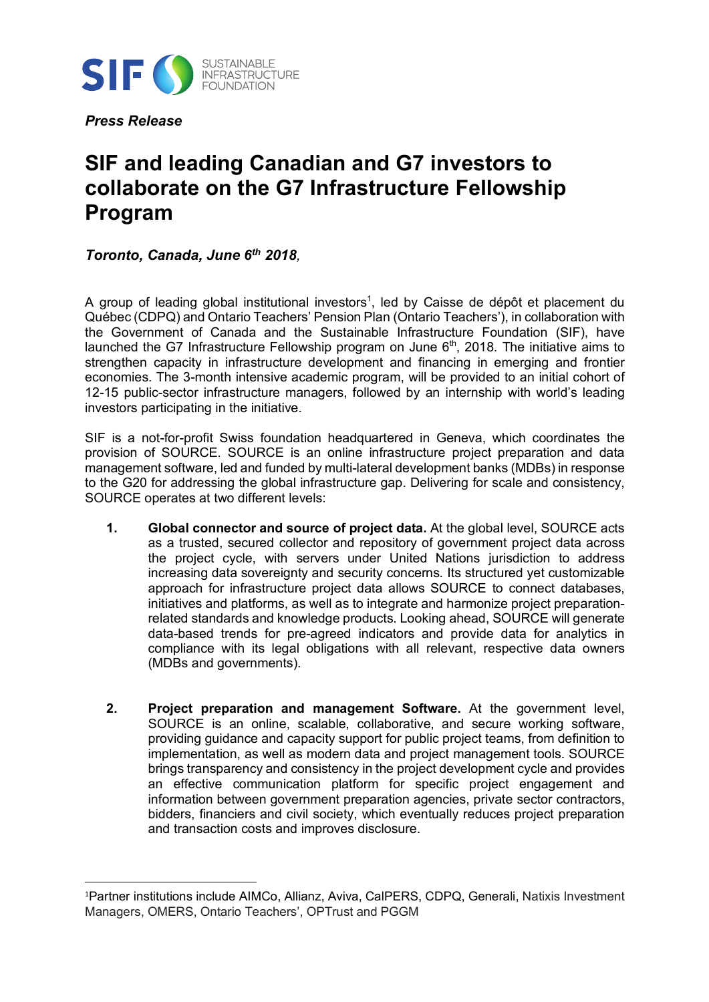

*Press Release*

## **SIF and leading Canadian and G7 investors to collaborate on the G7 Infrastructure Fellowship Program**

*Toronto, Canada, June 6th 2018,*

A group of leading global institutional investors<sup>1</sup>, led by Caisse de dépôt et placement du Québec (CDPQ) and Ontario Teachers' Pension Plan (Ontario Teachers'), in collaboration with the Government of Canada and the Sustainable Infrastructure Foundation (SIF), have launched the G7 Infrastructure Fellowship program on June  $6<sup>th</sup>$ , 2018. The initiative aims to strengthen capacity in infrastructure development and financing in emerging and frontier economies. The 3-month intensive academic program, will be provided to an initial cohort of 12-15 public-sector infrastructure managers, followed by an internship with world's leading investors participating in the initiative.

SIF is a not-for-profit Swiss foundation headquartered in Geneva, which coordinates the provision of SOURCE. SOURCE is an online infrastructure project preparation and data management software, led and funded by multi-lateral development banks (MDBs) in response to the G20 for addressing the global infrastructure gap. Delivering for scale and consistency, SOURCE operates at two different levels:

- **1. Global connector and source of project data.** At the global level, SOURCE acts as a trusted, secured collector and repository of government project data across the project cycle, with servers under United Nations jurisdiction to address increasing data sovereignty and security concerns. Its structured yet customizable approach for infrastructure project data allows SOURCE to connect databases, initiatives and platforms, as well as to integrate and harmonize project preparationrelated standards and knowledge products. Looking ahead, SOURCE will generate data-based trends for pre-agreed indicators and provide data for analytics in compliance with its legal obligations with all relevant, respective data owners (MDBs and governments).
- **2. Project preparation and management Software.** At the government level, SOURCE is an online, scalable, collaborative, and secure working software, providing guidance and capacity support for public project teams, from definition to implementation, as well as modern data and project management tools. SOURCE brings transparency and consistency in the project development cycle and provides an effective communication platform for specific project engagement and information between government preparation agencies, private sector contractors, bidders, financiers and civil society, which eventually reduces project preparation and transaction costs and improves disclosure.

 $\overline{1}$ <sup>1</sup>Partner institutions include AIMCo, Allianz, Aviva, CalPERS, CDPQ, Generali, Natixis Investment Managers, OMERS, Ontario Teachers', OPTrust and PGGM